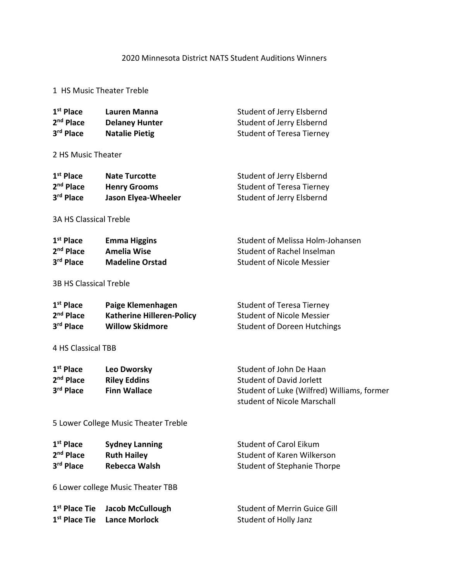## 2020 Minnesota District NATS Student Auditions Winners

## 1 HS Music Theater Treble

| 1 <sup>st</sup> Place<br>2 <sup>nd</sup> Place<br>3rd Place                                  | <b>Lauren Manna</b><br><b>Delaney Hunter</b><br><b>Natalie Pietig</b>                                    | Student of Jerry Elsbernd<br>Student of Jerry Elsbernd<br><b>Student of Teresa Tierney</b>                                              |
|----------------------------------------------------------------------------------------------|----------------------------------------------------------------------------------------------------------|-----------------------------------------------------------------------------------------------------------------------------------------|
| 2 HS Music Theater                                                                           |                                                                                                          |                                                                                                                                         |
| 1 <sup>st</sup> Place<br>2 <sup>nd</sup> Place<br>3rd Place<br><b>3A HS Classical Treble</b> | <b>Nate Turcotte</b><br><b>Henry Grooms</b><br><b>Jason Elyea-Wheeler</b>                                | Student of Jerry Elsbernd<br><b>Student of Teresa Tierney</b><br>Student of Jerry Elsbernd                                              |
| $1st$ Place<br>$2nd$ Place<br>3rd Place                                                      | <b>Emma Higgins</b><br><b>Amelia Wise</b><br><b>Madeline Orstad</b>                                      | Student of Melissa Holm-Johansen<br>Student of Rachel Inselman<br><b>Student of Nicole Messier</b>                                      |
| <b>3B HS Classical Treble</b>                                                                |                                                                                                          |                                                                                                                                         |
| $1st$ Place<br>$2nd$ Place<br>3rd Place                                                      | Paige Klemenhagen<br><b>Katherine Hilleren-Policy</b><br><b>Willow Skidmore</b>                          | <b>Student of Teresa Tierney</b><br><b>Student of Nicole Messier</b><br><b>Student of Doreen Hutchings</b>                              |
| 4 HS Classical TBB                                                                           |                                                                                                          |                                                                                                                                         |
| 1 <sup>st</sup> Place<br>2 <sup>nd</sup> Place<br>3rd Place                                  | Leo Dworsky<br><b>Riley Eddins</b><br><b>Finn Wallace</b>                                                | Student of John De Haan<br><b>Student of David Jorlett</b><br>Student of Luke (Wilfred) Williams, former<br>student of Nicole Marschall |
| 5 Lower College Music Theater Treble                                                         |                                                                                                          |                                                                                                                                         |
| 1 <sup>st</sup> Place<br>2 <sup>nd</sup> Place<br>3rd Place                                  | <b>Sydney Lanning</b><br><b>Ruth Hailey</b><br><b>Rebecca Walsh</b><br>6 Lower college Music Theater TBB | <b>Student of Carol Eikum</b><br><b>Student of Karen Wilkerson</b><br><b>Student of Stephanie Thorpe</b>                                |
| 1 <sup>st</sup> Place Tie<br>1 <sup>st</sup> Place Tie                                       | <b>Jacob McCullough</b><br><b>Lance Morlock</b>                                                          | <b>Student of Merrin Guice Gill</b><br>Student of Holly Janz                                                                            |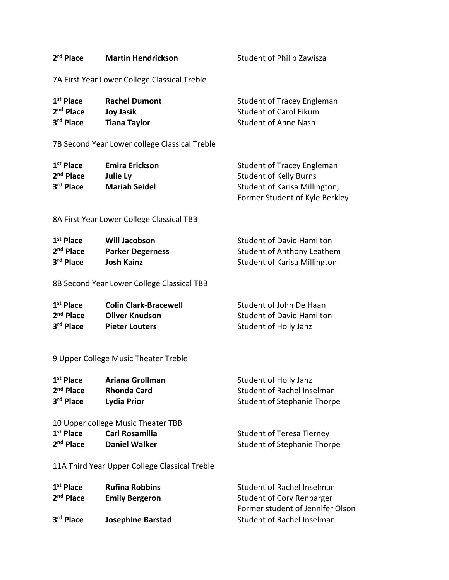| 2 <sup>rd</sup> Place                                                   | <b>Martin Hendrickson</b>                                                           | <b>Student of Philip Zawisza</b>                                                                                               |
|-------------------------------------------------------------------------|-------------------------------------------------------------------------------------|--------------------------------------------------------------------------------------------------------------------------------|
|                                                                         | 7A First Year Lower College Classical Treble                                        |                                                                                                                                |
| $1st$ Place<br>2 <sup>nd</sup> Place<br>3rd Place                       | <b>Rachel Dumont</b><br><b>Joy Jasik</b><br><b>Tiana Taylor</b>                     | Student of Tracey Engleman<br><b>Student of Carol Eikum</b><br><b>Student of Anne Nash</b>                                     |
|                                                                         | 7B Second Year Lower college Classical Treble                                       |                                                                                                                                |
| $1st$ Place<br>2 <sup>nd</sup> Place<br>3 <sup>rd</sup> Place           | <b>Emira Erickson</b><br>Julie Ly<br><b>Mariah Seidel</b>                           | Student of Tracey Engleman<br><b>Student of Kelly Burns</b><br>Student of Karisa Millington,<br>Former Student of Kyle Berkley |
|                                                                         | 8A First Year Lower College Classical TBB                                           |                                                                                                                                |
| 1 <sup>st</sup> Place<br>2 <sup>nd</sup> Place<br>3rd Place             | <b>Will Jacobson</b><br><b>Parker Degerness</b><br><b>Josh Kainz</b>                | <b>Student of David Hamilton</b><br><b>Student of Anthony Leathem</b><br><b>Student of Karisa Millington</b>                   |
|                                                                         | 8B Second Year Lower College Classical TBB                                          |                                                                                                                                |
| 1 <sup>st</sup> Place<br>2 <sup>nd</sup> Place<br>3 <sup>rd</sup> Place | <b>Colin Clark-Bracewell</b><br><b>Oliver Knudson</b><br><b>Pieter Louters</b>      | Student of John De Haan<br><b>Student of David Hamilton</b><br>Student of Holly Janz                                           |
|                                                                         | 9 Upper College Music Theater Treble                                                |                                                                                                                                |
| 1 <sup>st</sup> Place<br>2 <sup>nd</sup> Place<br>3rd Place             | <b>Ariana Grollman</b><br><b>Rhonda Card</b><br>Lydia Prior                         | Student of Holly Janz<br>Student of Rachel Inselman<br><b>Student of Stephanie Thorpe</b>                                      |
| 1 <sup>st</sup> Place<br>2 <sup>nd</sup> Place                          | 10 Upper college Music Theater TBB<br><b>Carl Rosamilia</b><br><b>Daniel Walker</b> | <b>Student of Teresa Tierney</b><br><b>Student of Stephanie Thorpe</b>                                                         |
|                                                                         | 11A Third Year Upper College Classical Treble                                       |                                                                                                                                |
| $1st$ Place<br>2 <sup>nd</sup> Place                                    | <b>Rufina Robbins</b><br><b>Emily Bergeron</b>                                      | Student of Rachel Inselman<br><b>Student of Cory Renbarger</b><br>Former student of Jennifer Olson                             |
| 3rd Place                                                               | <b>Josephine Barstad</b>                                                            | Student of Rachel Inselman                                                                                                     |